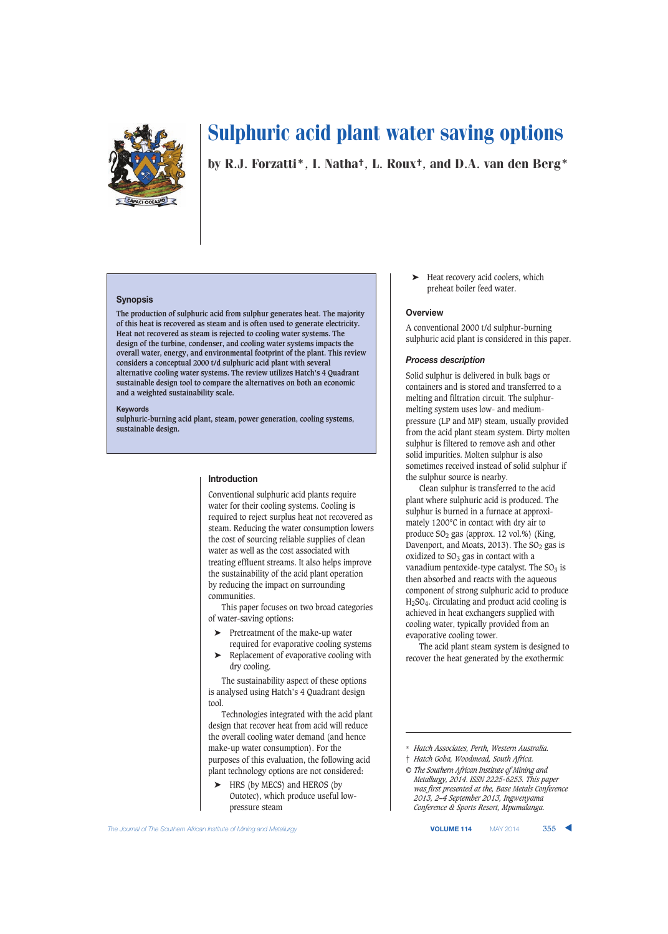

by R.J. Forzatti\*, I. Natha†, L. Roux†, and D.A. van den Berg\*

### **Synopsis**

**The production of sulphuric acid from sulphur generates heat. The majority of this heat is recovered as steam and is often used to generate electricity. Heat not recovered as steam is rejected to cooling water systems. The design of the turbine, condenser, and cooling water systems impacts the overall water, energy, and environmental footprint of the plant. This review considers a conceptual 2000 t/d sulphuric acid plant with several alternative cooling water systems. The review utilizes Hatch's 4 Quadrant sustainable design tool to compare the alternatives on both an economic and a weighted sustainability scale.**

#### **Keywords**

**sulphuric-burning acid plant, steam, power generation, cooling systems, sustainable design.**

#### **Introduction**

Conventional sulphuric acid plants require water for their cooling systems. Cooling is required to reject surplus heat not recovered as steam. Reducing the water consumption lowers the cost of sourcing reliable supplies of clean water as well as the cost associated with treating effluent streams. It also helps improve the sustainability of the acid plant operation by reducing the impact on surrounding communities.

This paper focuses on two broad categories of water-saving options:

- ➤ Pretreatment of the make-up water
- required for evaporative cooling systems ➤ Replacement of evaporative cooling with dry cooling.

The sustainability aspect of these options is analysed using Hatch's 4 Quadrant design tool.

Technologies integrated with the acid plant design that recover heat from acid will reduce the overall cooling water demand (and hence make-up water consumption). For the purposes of this evaluation, the following acid plant technology options are not considered:

HRS (by MECS) and HEROS (by Outotec), which produce useful lowpressure steam

Heat recovery acid coolers, which preheat boiler feed water.

#### **Overview**

A conventional 2000 t/d sulphur-burning sulphuric acid plant is considered in this paper.

## *Process description*

Solid sulphur is delivered in bulk bags or containers and is stored and transferred to a melting and filtration circuit. The sulphurmelting system uses low- and mediumpressure (LP and MP) steam, usually provided from the acid plant steam system. Dirty molten sulphur is filtered to remove ash and other solid impurities. Molten sulphur is also sometimes received instead of solid sulphur if the sulphur source is nearby.

Clean sulphur is transferred to the acid plant where sulphuric acid is produced. The sulphur is burned in a furnace at approximately 1200°C in contact with dry air to produce  $SO_2$  gas (approx. 12 vol.%) (King, Davenport, and Moats, 2013). The  $SO<sub>2</sub>$  gas is oxidized to  $SO_3$  gas in contact with a vanadium pentoxide-type catalyst. The  $SO_3$  is then absorbed and reacts with the aqueous component of strong sulphuric acid to produce H2SO4. Circulating and product acid cooling is achieved in heat exchangers supplied with cooling water, typically provided from an evaporative cooling tower.

The acid plant steam system is designed to recover the heat generated by the exothermic

*© The Southern African Institute of Mining and Metallurgy, 2014. ISSN 2225-6253. This paper was first presented at the, Base Metals Conference 2013, 2–4 September 2013, Ingwenyama Conference & Sports Resort, Mpumalanga.*

<sup>\*</sup> *Hatch Associates, Perth, Western Australia.*

<sup>†</sup> *Hatch Goba, Woodmead, South Africa.*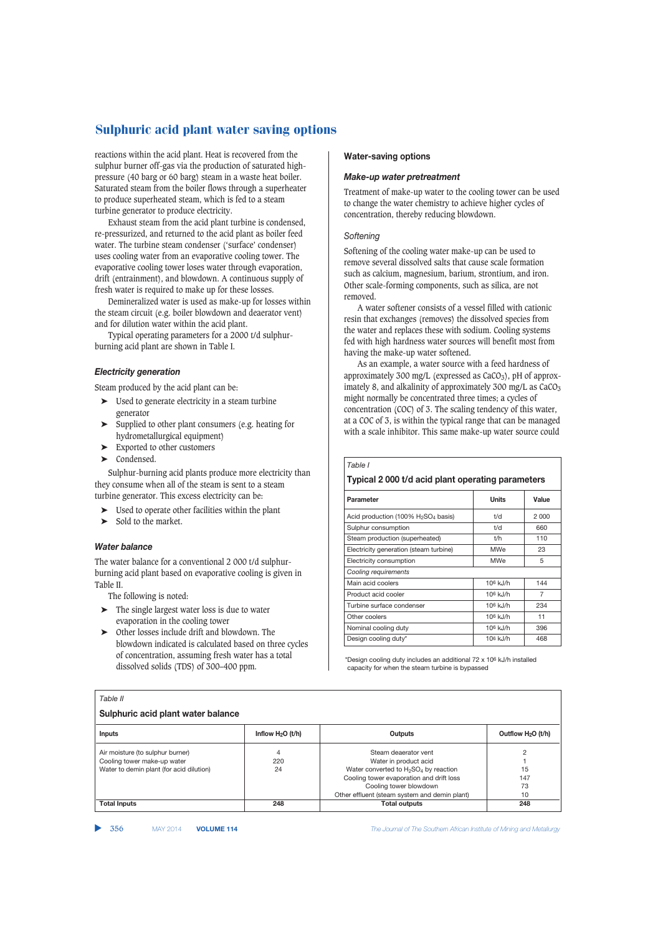reactions within the acid plant. Heat is recovered from the sulphur burner off-gas via the production of saturated highpressure (40 barg or 60 barg) steam in a waste heat boiler. Saturated steam from the boiler flows through a superheater to produce superheated steam, which is fed to a steam turbine generator to produce electricity.

Exhaust steam from the acid plant turbine is condensed, re-pressurized, and returned to the acid plant as boiler feed water. The turbine steam condenser ('surface' condenser) uses cooling water from an evaporative cooling tower. The evaporative cooling tower loses water through evaporation, drift (entrainment), and blowdown. A continuous supply of fresh water is required to make up for these losses.

Demineralized water is used as make-up for losses within the steam circuit (e.g. boiler blowdown and deaerator vent) and for dilution water within the acid plant.

Typical operating parameters for a 2000 t/d sulphurburning acid plant are shown in Table I.

## *Electricity generation*

Steam produced by the acid plant can be:

- ➤ Used to generate electricity in a steam turbine generator
- ➤ Supplied to other plant consumers (e.g. heating for hydrometallurgical equipment)
- ➤ Exported to other customers
- ➤ Condensed.

Sulphur-burning acid plants produce more electricity than they consume when all of the steam is sent to a steam turbine generator. This excess electricity can be:

- Used to operate other facilities within the plant
- Sold to the market.

#### *Water balance*

The water balance for a conventional 2 000 t/d sulphurburning acid plant based on evaporative cooling is given in Table II.

The following is noted:

- $\blacktriangleright$  The single largest water loss is due to water evaporation in the cooling tower
- ➤ Other losses include drift and blowdown. The blowdown indicated is calculated based on three cycles of concentration, assuming fresh water has a total dissolved solids (TDS) of 300–400 ppm.

#### **Water-saving options**

## *Make-up water pretreatment*

Treatment of make-up water to the cooling tower can be used to change the water chemistry to achieve higher cycles of concentration, thereby reducing blowdown.

## *Softening*

*Table I*

Softening of the cooling water make-up can be used to remove several dissolved salts that cause scale formation such as calcium, magnesium, barium, strontium, and iron. Other scale-forming components, such as silica, are not removed.

A water softener consists of a vessel filled with cationic resin that exchanges (removes) the dissolved species from the water and replaces these with sodium. Cooling systems fed with high hardness water sources will benefit most from having the make-up water softened.

As an example, a water source with a feed hardness of approximately 300 mg/L (expressed as  $CaCO<sub>3</sub>$ ), pH of approximately 8, and alkalinity of approximately 300 mg/L as  $CaCO<sub>3</sub>$ might normally be concentrated three times; a cycles of concentration (COC) of 3. The scaling tendency of this water, at a COC of 3, is within the typical range that can be managed with a scale inhibitor. This same make-up water source could

| Typical 2000 t/d acid plant operating parameters |              |         |  |  |  |  |
|--------------------------------------------------|--------------|---------|--|--|--|--|
| Parameter                                        | <b>Units</b> | Value   |  |  |  |  |
| Acid production (100% $H_2SO_4$ basis)           | t/d          | 2 0 0 0 |  |  |  |  |
| Sulphur consumption                              | t/d          | 660     |  |  |  |  |
| Steam production (superheated)                   | t/h          | 110     |  |  |  |  |
| Electricity generation (steam turbine)           | <b>MWe</b>   | 23      |  |  |  |  |
| Electricity consumption                          | <b>MWe</b>   | 5       |  |  |  |  |
| Cooling requirements                             |              |         |  |  |  |  |
| Main acid coolers                                | 106 kJ/h     | 144     |  |  |  |  |
| Product acid cooler                              | $106$ kJ/h   | 7       |  |  |  |  |
| Turbine surface condenser                        | $106$ k.I/h  | 234     |  |  |  |  |
| Other coolers                                    | $106$ kJ/h   | 11      |  |  |  |  |
| Nominal cooling duty                             | 106 kJ/h     | 396     |  |  |  |  |
| Design cooling duty*                             | $106$ kJ/h   | 468     |  |  |  |  |

\*Design cooling duty includes an additional 72 x 106 kJ/h installed capacity for when the steam turbine is bypassed

## **Sulphuric acid plant water balance Inflow H<sub>2</sub>O (t/h) Cutputs Cutputs Cutputs Outputs Outputs Outputs Outputs Outputs Cuthov H<sub>2</sub>O (t/h)** Air moisture (to sulphur burner)  $\begin{array}{ccc} 4 & 4 & 220 & 220 \end{array}$  Steam deaerator vent  $\begin{array}{ccc} 2 & 2 & 2 & 20 \end{array}$ Cooling tower make-up water <br>
21 Mater to demin plant (for acid dilution) 24 Water converted to H<sub>2</sub>SO<sub>4</sub> by reaction 15 Water converted to  $H_2$ SO<sub>4</sub> by reaction<br>Cooling tower evaporation and drift loss 147 Cooling tower evaporation and drift loss Cooling tower blowdown and the cooling tower blowdown and the cooling to  $73$ Other effluent (steam system and demin plant) 10<br>Total outputs 248 **Total Inputs 248 Total outputs 248**

▲

356 MAY 2014 **VOLUME 114** *The Journal of The Southern African Institute of Mining and Metallurgy*

## *Table II*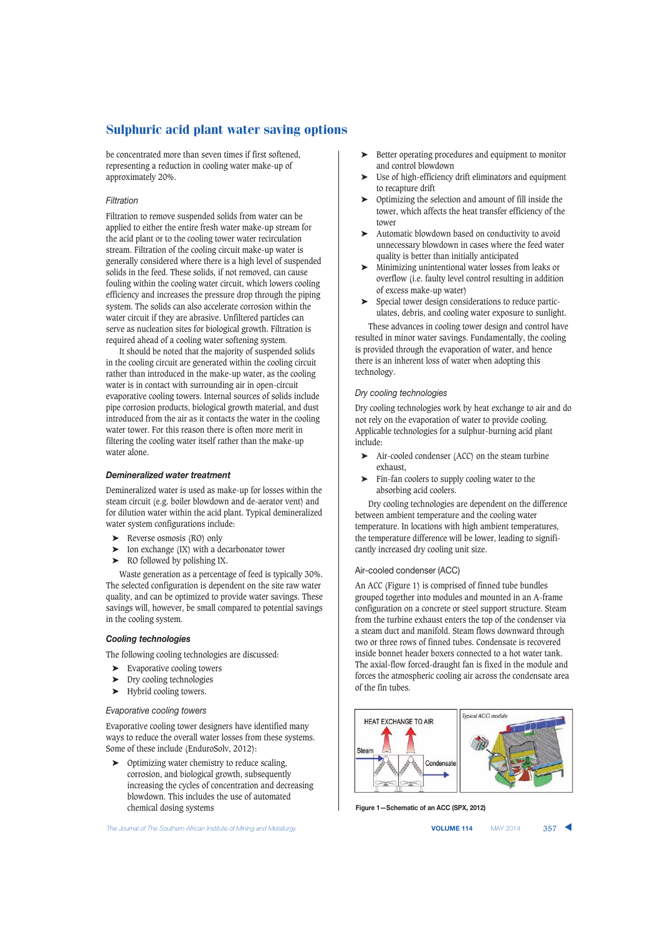be concentrated more than seven times if first softened, representing a reduction in cooling water make-up of approximately 20%.

## *Filtration*

Filtration to remove suspended solids from water can be applied to either the entire fresh water make-up stream for the acid plant or to the cooling tower water recirculation stream. Filtration of the cooling circuit make-up water is generally considered where there is a high level of suspended solids in the feed. These solids, if not removed, can cause fouling within the cooling water circuit, which lowers cooling efficiency and increases the pressure drop through the piping system. The solids can also accelerate corrosion within the water circuit if they are abrasive. Unfiltered particles can serve as nucleation sites for biological growth. Filtration is required ahead of a cooling water softening system.

It should be noted that the majority of suspended solids in the cooling circuit are generated within the cooling circuit rather than introduced in the make-up water, as the cooling water is in contact with surrounding air in open-circuit evaporative cooling towers. Internal sources of solids include pipe corrosion products, biological growth material, and dust introduced from the air as it contacts the water in the cooling water tower. For this reason there is often more merit in filtering the cooling water itself rather than the make-up water alone.

## *Demineralized water treatment*

Demineralized water is used as make-up for losses within the steam circuit (e.g. boiler blowdown and de-aerator vent) and for dilution water within the acid plant. Typical demineralized water system configurations include:

- ➤ Reverse osmosis (RO) only
- ➤ Ion exchange (IX) with a decarbonator tower
- ➤ RO followed by polishing IX.

Waste generation as a percentage of feed is typically 30%. The selected configuration is dependent on the site raw water quality, and can be optimized to provide water savings. These savings will, however, be small compared to potential savings in the cooling system.

## *Cooling technologies*

The following cooling technologies are discussed:

- ➤ Evaporative cooling towers
- ➤ Dry cooling technologies
- ➤ Hybrid cooling towers.

#### *Evaporative cooling towers*

Evaporative cooling tower designers have identified many ways to reduce the overall water losses from these systems. Some of these include (EnduroSolv, 2012):

➤ Optimizing water chemistry to reduce scaling, corrosion, and biological growth, subsequently increasing the cycles of concentration and decreasing blowdown. This includes the use of automated chemical dosing systems

**The Journal of The Southern African Institute of Mining and Metallurgy <b>VOLUME 114 VOLUME 114 MAY 2014 357** 

- ➤ Better operating procedures and equipment to monitor and control blowdown
- ➤ Use of high-efficiency drift eliminators and equipment to recapture drift
- ➤ Optimizing the selection and amount of fill inside the tower, which affects the heat transfer efficiency of the tower
- ➤ Automatic blowdown based on conductivity to avoid unnecessary blowdown in cases where the feed water quality is better than initially anticipated
- ➤ Minimizing unintentional water losses from leaks or overflow (i.e. faulty level control resulting in addition of excess make-up water)
- ➤ Special tower design considerations to reduce particulates, debris, and cooling water exposure to sunlight.

These advances in cooling tower design and control have resulted in minor water savings. Fundamentally, the cooling is provided through the evaporation of water, and hence there is an inherent loss of water when adopting this technology.

## *Dry cooling technologies*

Dry cooling technologies work by heat exchange to air and do not rely on the evaporation of water to provide cooling. Applicable technologies for a sulphur-burning acid plant include:

- ➤ Air-cooled condenser (ACC) on the steam turbine exhaust,
- ➤ Fin-fan coolers to supply cooling water to the absorbing acid coolers.

Dry cooling technologies are dependent on the difference between ambient temperature and the cooling water temperature. In locations with high ambient temperatures, the temperature difference will be lower, leading to significantly increased dry cooling unit size.

#### Air-cooled condenser (ACC)

An ACC (Figure 1) is comprised of finned tube bundles grouped together into modules and mounted in an A-frame configuration on a concrete or steel support structure. Steam from the turbine exhaust enters the top of the condenser via a steam duct and manifold. Steam flows downward through two or three rows of finned tubes. Condensate is recovered inside bonnet header boxers connected to a hot water tank. The axial-flow forced-draught fan is fixed in the module and forces the atmospheric cooling air across the condensate area of the fin tubes.



**Figure 1—Schematic of an ACC (SPX, 2012)**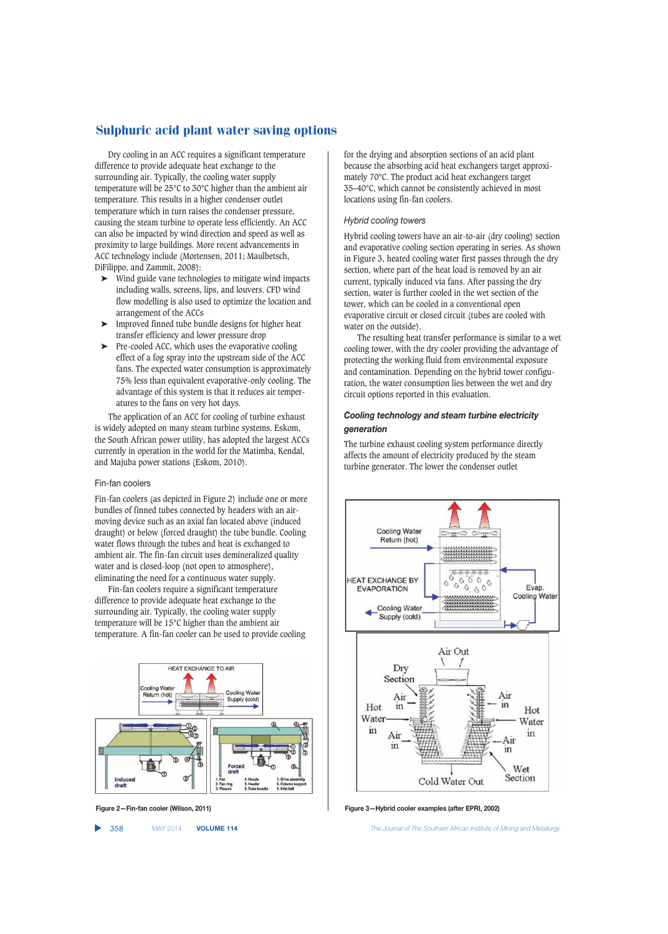Dry cooling in an ACC requires a significant temperature difference to provide adequate heat exchange to the surrounding air. Typically, the cooling water supply temperature will be 25°C to 30°C higher than the ambient air temperature. This results in a higher condenser outlet temperature which in turn raises the condenser pressure, causing the steam turbine to operate less efficiently. An ACC can also be impacted by wind direction and speed as well as proximity to large buildings. More recent advancements in ACC technology include (Mortensen, 2011; Maulbetsch, DiFilippo, and Zammit, 2008):

- ➤ Wind guide vane technologies to mitigate wind impacts including walls, screens, lips, and louvers. CFD wind flow modelling is also used to optimize the location and arrangement of the ACCs
- ➤ Improved finned tube bundle designs for higher heat transfer efficiency and lower pressure drop
- $\blacktriangleright$  Pre-cooled ACC, which uses the evaporative cooling effect of a fog spray into the upstream side of the ACC fans. The expected water consumption is approximately 75% less than equivalent evaporative-only cooling. The advantage of this system is that it reduces air temperatures to the fans on very hot days.

The application of an ACC for cooling of turbine exhaust is widely adopted on many steam turbine systems. Eskom, the South African power utility, has adopted the largest ACCs currently in operation in the world for the Matimba, Kendal, and Majuba power stations (Eskom, 2010).

## Fin-fan coolers

Fin-fan coolers (as depicted in Figure 2) include one or more bundles of finned tubes connected by headers with an airmoving device such as an axial fan located above (induced draught) or below (forced draught) the tube bundle. Cooling water flows through the tubes and heat is exchanged to ambient air. The fin-fan circuit uses demineralized quality water and is closed-loop (not open to atmosphere), eliminating the need for a continuous water supply.

Fin-fan coolers require a significant temperature difference to provide adequate heat exchange to the surrounding air. Typically, the cooling water supply temperature will be 15°C higher than the ambient air temperature. A fin-fan cooler can be used to provide cooling



▲

for the drying and absorption sections of an acid plant because the absorbing acid heat exchangers target approximately 70°C. The product acid heat exchangers target 35–40°C, which cannot be consistently achieved in most locations using fin-fan coolers.

## *Hybrid cooling towers*

Hybrid cooling towers have an air-to-air (dry cooling) section and evaporative cooling section operating in series. As shown in Figure 3, heated cooling water first passes through the dry section, where part of the heat load is removed by an air current, typically induced via fans. After passing the dry section, water is further cooled in the wet section of the tower, which can be cooled in a conventional open evaporative circuit or closed circuit (tubes are cooled with water on the outside).

The resulting heat transfer performance is similar to a wet cooling tower, with the dry cooler providing the advantage of protecting the working fluid from environmental exposure and contamination. Depending on the hybrid tower configuration, the water consumption lies between the wet and dry circuit options reported in this evaluation.

## *Cooling technology and steam turbine electricity generation*

The turbine exhaust cooling system performance directly affects the amount of electricity produced by the steam turbine generator. The lower the condenser outlet



**Figure 2—Fin-fan cooler (Wilson, 2011) Figure 3—Hybrid cooler examples (after EPRI, 2002)**

358 MAY 2014 **VOLUME 114** *The Journal of The Southern African Institute of Mining and Metallurgy*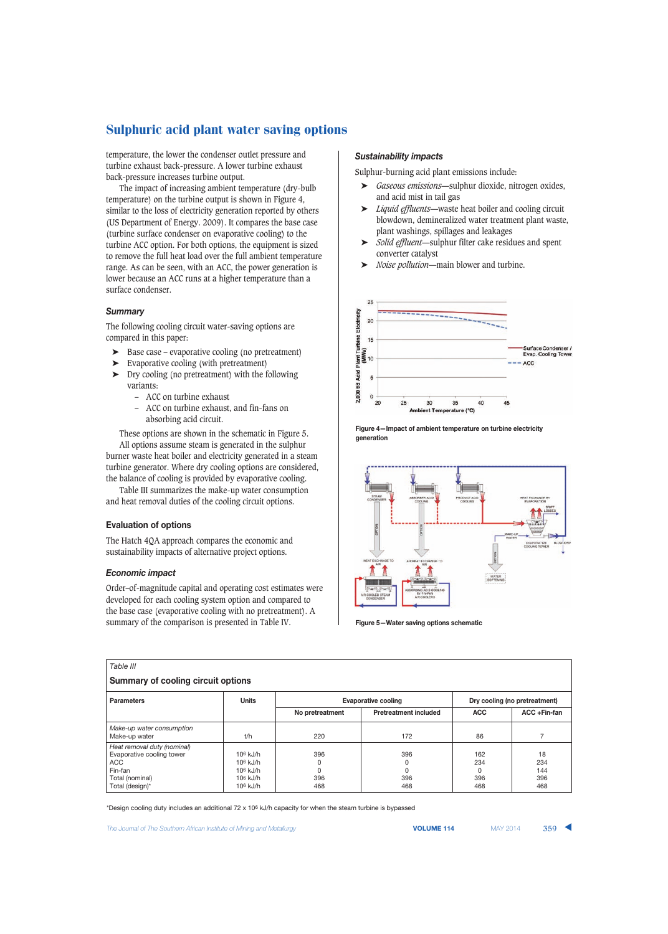temperature, the lower the condenser outlet pressure and turbine exhaust back-pressure. A lower turbine exhaust back-pressure increases turbine output.

The impact of increasing ambient temperature (dry-bulb temperature) on the turbine output is shown in Figure 4, similar to the loss of electricity generation reported by others (US Department of Energy. 2009). It compares the base case (turbine surface condenser on evaporative cooling) to the turbine ACC option. For both options, the equipment is sized to remove the full heat load over the full ambient temperature range. As can be seen, with an ACC, the power generation is lower because an ACC runs at a higher temperature than a surface condenser.

## *Summary*

The following cooling circuit water-saving options are compared in this paper:

- ➤ Base case evaporative cooling (no pretreatment)
- ➤ Evaporative cooling (with pretreatment)
- ➤ Dry cooling (no pretreatment) with the following variants:
	- ACC on turbine exhaust
	- ACC on turbine exhaust, and fin-fans on absorbing acid circuit.

These options are shown in the schematic in Figure 5. All options assume steam is generated in the sulphur

burner waste heat boiler and electricity generated in a steam turbine generator. Where dry cooling options are considered, the balance of cooling is provided by evaporative cooling.

Table III summarizes the make-up water consumption and heat removal duties of the cooling circuit options.

## **Evaluation of options**

The Hatch 4QA approach compares the economic and sustainability impacts of alternative project options.

## *Economic impact*

Order–of-magnitude capital and operating cost estimates were developed for each cooling system option and compared to the base case (evaporative cooling with no pretreatment). A summary of the comparison is presented in Table IV.

#### *Sustainability impacts*

Sulphur-burning acid plant emissions include:

- ➤ *Gaseous emissions*—sulphur dioxide, nitrogen oxides, and acid mist in tail gas
- ➤ *Liquid effluents*—waste heat boiler and cooling circuit blowdown, demineralized water treatment plant waste, plant washings, spillages and leakages
- ➤ *Solid effluent*—sulphur filter cake residues and spent converter catalyst
- ➤ *Noise pollution*—main blower and turbine.



**Figure 4—Impact of ambient temperature on turbine electricity generation**



**Figure 5—Water saving options schematic**

| Table III                                                                                                               |                                                                  |                             |                              |                                      |                                |  |
|-------------------------------------------------------------------------------------------------------------------------|------------------------------------------------------------------|-----------------------------|------------------------------|--------------------------------------|--------------------------------|--|
| <b>Summary of cooling circuit options</b>                                                                               |                                                                  |                             |                              |                                      |                                |  |
| <b>Units</b><br>Dry cooling (no pretreatment)<br><b>Evaporative cooling</b><br><b>Parameters</b>                        |                                                                  |                             |                              |                                      |                                |  |
|                                                                                                                         |                                                                  | No pretreatment             | <b>Pretreatment included</b> | <b>ACC</b>                           | $ACC + Fin-fan$                |  |
| Make-up water consumption<br>Make-up water                                                                              | t/h                                                              | 220                         | 172                          | 86                                   |                                |  |
| Heat removal duty (nominal)<br>Evaporative cooling tower<br><b>ACC</b><br>Fin-fan<br>Total (nominal)<br>Total (design)* | $106$ kJ/h<br>$106$ kJ/h<br>$106$ kJ/h<br>$106$ kJ/h<br>106 kJ/h | 396<br>0<br>0<br>396<br>468 | 396<br>0<br>0<br>396<br>468  | 162<br>234<br>$\Omega$<br>396<br>468 | 18<br>234<br>144<br>396<br>468 |  |

\*Design cooling duty includes an additional 72 x 106 kJ/h capacity for when the steam turbine is bypassed

**The Journal of The Southern African Institute of Mining and Metallurgy <b>VOLUME 114 VOLUME 114 VOLUME 114 And MAY 2014 359**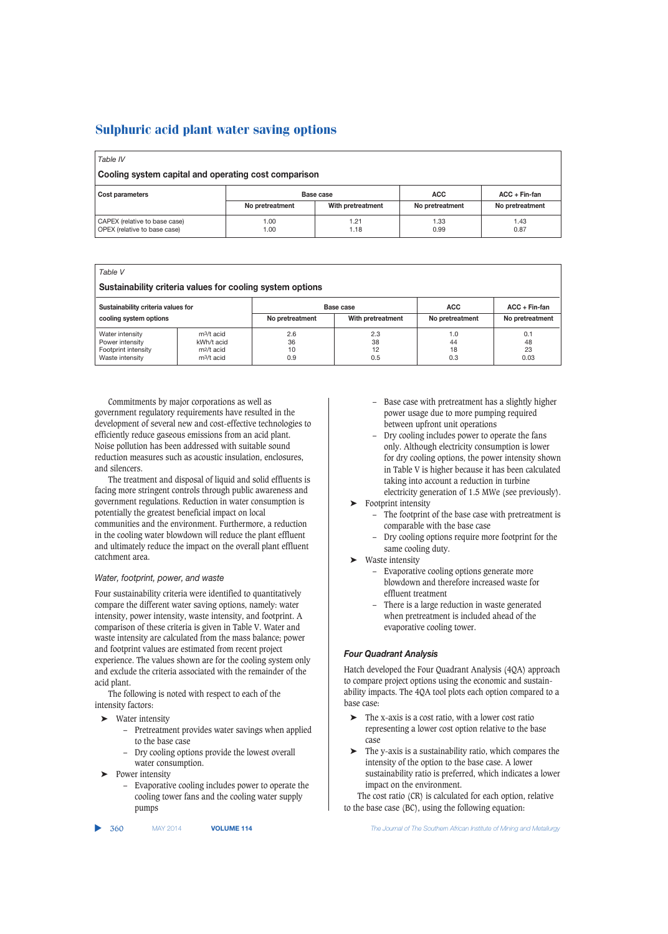| Table IV                                                      |                 |                   |                 |                 |  |  |
|---------------------------------------------------------------|-----------------|-------------------|-----------------|-----------------|--|--|
| Cooling system capital and operating cost comparison          |                 |                   |                 |                 |  |  |
| Cost parameters                                               | Base case       |                   | <b>ACC</b>      | $ACC + Fin-fan$ |  |  |
|                                                               | No pretreatment | With pretreatment | No pretreatment | No pretreatment |  |  |
| CAPEX (relative to base case)<br>OPEX (relative to base case) | 1.00<br>1.00    | 1.21<br>1.18      | 1.33<br>0.99    | 1.43<br>0.87    |  |  |

| Table V<br>Sustainability criteria values for cooling system options                                              |                                                                                |                               |                                    |                        |                         |  |
|-------------------------------------------------------------------------------------------------------------------|--------------------------------------------------------------------------------|-------------------------------|------------------------------------|------------------------|-------------------------|--|
| Sustainability criteria values for<br>Base case<br>cooling system options<br>With pretreatment<br>No pretreatment |                                                                                | <b>ACC</b><br>No pretreatment | $ACC + Fin-fan$<br>No pretreatment |                        |                         |  |
| Water intensity<br>Power intensity<br>Footprint intensity<br>Waste intensity                                      | $m^3/t$ acid<br>kWh/t acid<br>m <sup>2</sup> /t acid<br>m <sub>3</sub> /t acid | 2.6<br>36<br>10<br>0.9        | 2.3<br>38<br>12<br>0.5             | 1.0<br>44<br>18<br>0.3 | 0.1<br>48<br>23<br>0.03 |  |

Commitments by major corporations as well as government regulatory requirements have resulted in the development of several new and cost-effective technologies to efficiently reduce gaseous emissions from an acid plant. Noise pollution has been addressed with suitable sound reduction measures such as acoustic insulation, enclosures, and silencers.

The treatment and disposal of liquid and solid effluents is facing more stringent controls through public awareness and government regulations. Reduction in water consumption is potentially the greatest beneficial impact on local communities and the environment. Furthermore, a reduction in the cooling water blowdown will reduce the plant effluent and ultimately reduce the impact on the overall plant effluent catchment area.

## *Water, footprint, power, and waste*

Four sustainability criteria were identified to quantitatively compare the different water saving options, namely: water intensity, power intensity, waste intensity, and footprint. A comparison of these criteria is given in Table V. Water and waste intensity are calculated from the mass balance; power and footprint values are estimated from recent project experience. The values shown are for the cooling system only and exclude the criteria associated with the remainder of the acid plant.

The following is noted with respect to each of the intensity factors:

- Water intensity
	- Pretreatment provides water savings when applied to the base case
	- Dry cooling options provide the lowest overall water consumption.
- ➤ Power intensity
	- Evaporative cooling includes power to operate the cooling tower fans and the cooling water supply pumps

▲

– Base case with pretreatment has a slightly higher power usage due to more pumping required between upfront unit operations

- Dry cooling includes power to operate the fans only. Although electricity consumption is lower for dry cooling options, the power intensity shown in Table V is higher because it has been calculated taking into account a reduction in turbine electricity generation of 1.5 MWe (see previously).
- $\blacktriangleright$  Footprint intensity
	- The footprint of the base case with pretreatment is comparable with the base case
	- Dry cooling options require more footprint for the same cooling duty.
- Waste intensity
	- Evaporative cooling options generate more blowdown and therefore increased waste for effluent treatment
	- There is a large reduction in waste generated when pretreatment is included ahead of the evaporative cooling tower.

## *Four Quadrant Analysis*

Hatch developed the Four Quadrant Analysis (4QA) approach to compare project options using the economic and sustainability impacts. The 4QA tool plots each option compared to a base case:

- ➤ The x-axis is a cost ratio, with a lower cost ratio representing a lower cost option relative to the base case
- ➤ The y-axis is a sustainability ratio, which compares the intensity of the option to the base case. A lower sustainability ratio is preferred, which indicates a lower impact on the environment.

The cost ratio (CR) is calculated for each option, relative to the base case (BC), using the following equation:

360 MAY 2014 **VOLUME 114** *The Journal of The Southern African Institute of Mining and Metallurgy*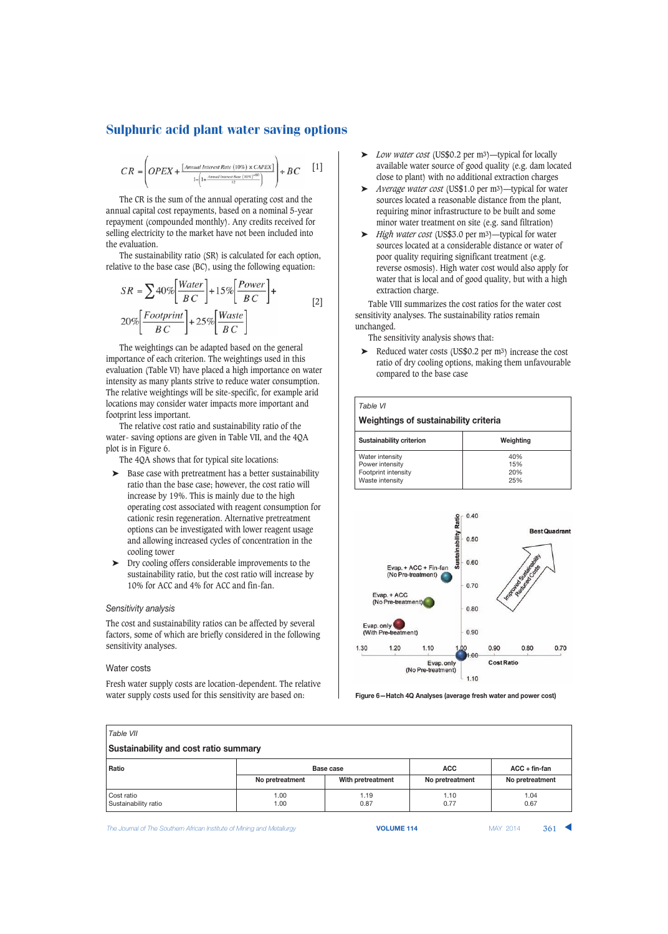$$
CR = \left( OPEX + \frac{[\text{Annual Interest Rate } (10\%) \times CAPEX]}{1 - \left(1 + \frac{\text{Annual Interest Rate } (10\%)}{12}\right)} + BC \quad [1]
$$

The CR is the sum of the annual operating cost and the annual capital cost repayments, based on a nominal 5-year repayment (compounded monthly). Any credits received for selling electricity to the market have not been included into the evaluation.

The sustainability ratio (SR) is calculated for each option, relative to the base case (BC), using the following equation:

$$
SR = \sum 40\% \left[ \frac{Water}{BC} \right] + 15\% \left[ \frac{Power}{BC} \right] +
$$
  
20\% \left[ \frac{Footprint}{BC} \right] + 25\% \left[ \frac{Waste}{BC} \right] (2)

The weightings can be adapted based on the general importance of each criterion. The weightings used in this evaluation (Table VI) have placed a high importance on water intensity as many plants strive to reduce water consumption. The relative weightings will be site-specific, for example arid locations may consider water impacts more important and footprint less important.

The relative cost ratio and sustainability ratio of the water- saving options are given in Table VII, and the 4QA plot is in Figure 6.

The 4QA shows that for typical site locations:

- ➤ Base case with pretreatment has a better sustainability ratio than the base case; however, the cost ratio will increase by 19%. This is mainly due to the high operating cost associated with reagent consumption for cationic resin regeneration. Alternative pretreatment options can be investigated with lower reagent usage and allowing increased cycles of concentration in the cooling tower
- ➤ Dry cooling offers considerable improvements to the sustainability ratio, but the cost ratio will increase by 10% for ACC and 4% for ACC and fin-fan.

## *Sensitivity analysis*

The cost and sustainability ratios can be affected by several factors, some of which are briefly considered in the following sensitivity analyses.

#### Water costs

Fresh water supply costs are location-dependent. The relative water supply costs used for this sensitivity are based on:

- ➤ *Low water cost* (US\$0.2 per m3)—typical for locally available water source of good quality (e.g. dam located close to plant) with no additional extraction charges
- ➤ *Average water cost* (US\$1.0 per m3)—typical for water sources located a reasonable distance from the plant, requiring minor infrastructure to be built and some minor water treatment on site (e.g. sand filtration)
- ➤ *High water cost* (US\$3.0 per m3)—typical for water sources located at a considerable distance or water of poor quality requiring significant treatment (e.g. reverse osmosis). High water cost would also apply for water that is local and of good quality, but with a high extraction charge.

Table VIII summarizes the cost ratios for the water cost sensitivity analyses. The sustainability ratios remain unchanged.

The sensitivity analysis shows that:

➤ Reduced water costs (US\$0.2 per m3) increase the cost ratio of dry cooling options, making them unfavourable compared to the base case

| Table VI                                                                     |                          |  |  |  |
|------------------------------------------------------------------------------|--------------------------|--|--|--|
| Weightings of sustainability criteria                                        |                          |  |  |  |
| Sustainability criterion                                                     | Weighting                |  |  |  |
| Water intensity<br>Power intensity<br>Footprint intensity<br>Waste intensity | 40%<br>15%<br>20%<br>25% |  |  |  |



**Figure 6—Hatch 4Q Analyses (average fresh water and power cost)**

| Table VII                                    |                                            |                   |                 |                 |  |  |
|----------------------------------------------|--------------------------------------------|-------------------|-----------------|-----------------|--|--|
| <b>Sustainability and cost ratio summary</b> |                                            |                   |                 |                 |  |  |
| Ratio                                        | <b>ACC</b><br>$ACC + fin-fan$<br>Base case |                   |                 |                 |  |  |
|                                              | No pretreatment                            | With pretreatment | No pretreatment | No pretreatment |  |  |
| Cost ratio<br>Sustainability ratio           | 1.00<br>1.00                               | 1.19<br>0.87      | 1.10<br>0.77    | 1.04<br>0.67    |  |  |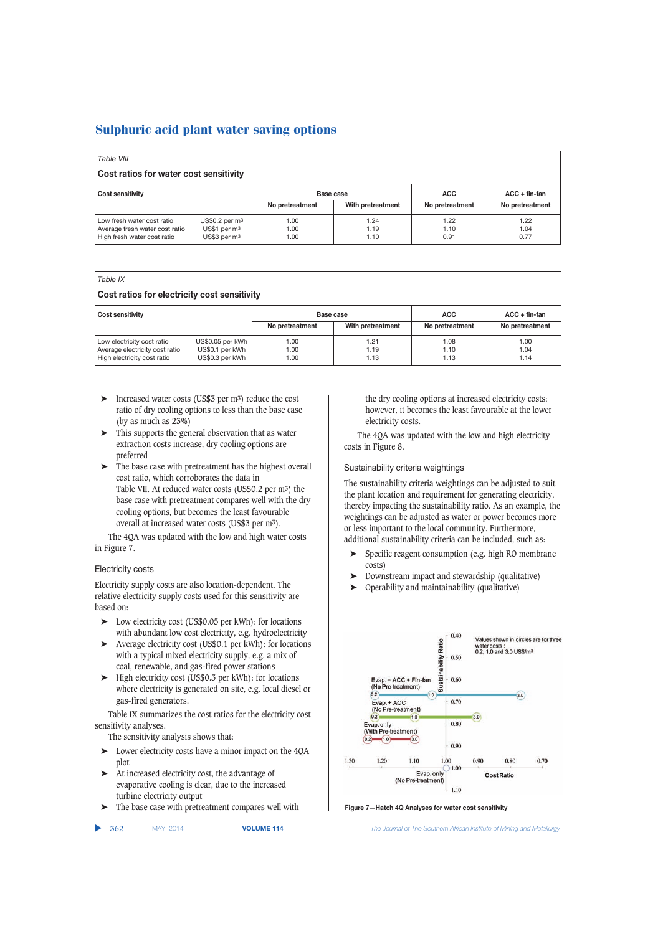| Table VIII                                                                                  |                                                                                     |                      |                      |                      |                      |  |
|---------------------------------------------------------------------------------------------|-------------------------------------------------------------------------------------|----------------------|----------------------|----------------------|----------------------|--|
| Cost ratios for water cost sensitivity                                                      |                                                                                     |                      |                      |                      |                      |  |
| <b>Cost sensitivity</b>                                                                     |                                                                                     | Base case            |                      | <b>ACC</b>           | $ACC + fin-fan$      |  |
|                                                                                             |                                                                                     | No pretreatment      | With pretreatment    | No pretreatment      | No pretreatment      |  |
| Low fresh water cost ratio<br>Average fresh water cost ratio<br>High fresh water cost ratio | $US$0.2$ per m <sup>3</sup><br>US\$1 per m <sup>3</sup><br>US\$3 per m <sup>3</sup> | 1.00<br>1.00<br>1.00 | 1.24<br>1.19<br>1.10 | 1.22<br>1.10<br>0.91 | 1.22<br>1.04<br>0.77 |  |

## *Table IX*

| Cost ratios for electricity cost sensitivity                                                |                                                        |                                                   |                      |                               |                                    |  |  |
|---------------------------------------------------------------------------------------------|--------------------------------------------------------|---------------------------------------------------|----------------------|-------------------------------|------------------------------------|--|--|
| <b>Cost sensitivity</b>                                                                     |                                                        | Base case<br>With pretreatment<br>No pretreatment |                      | <b>ACC</b><br>No pretreatment | $ACC + fin-fan$<br>No pretreatment |  |  |
| Low electricity cost ratio<br>Average electricity cost ratio<br>High electricity cost ratio | US\$0.05 per kWh<br>US\$0.1 per kWh<br>US\$0.3 per kWh | 1.00<br>1.00<br>1.00                              | 1.21<br>1.19<br>1.13 | 1.08<br>1.10<br>1.13          | 1.00<br>1.04<br>1.14               |  |  |

- ➤ Increased water costs (US\$3 per m3) reduce the cost ratio of dry cooling options to less than the base case (by as much as  $23\%$ )
- ➤ This supports the general observation that as water extraction costs increase, dry cooling options are preferred
- ➤ The base case with pretreatment has the highest overall cost ratio, which corroborates the data in Table VII. At reduced water costs (US\$0.2 per m3) the base case with pretreatment compares well with the dry cooling options, but becomes the least favourable overall at increased water costs (US\$3 per m3).

The 4QA was updated with the low and high water costs in Figure 7.

## Electricity costs

Electricity supply costs are also location-dependent. The relative electricity supply costs used for this sensitivity are based on:

- Low electricity cost (US\$0.05 per kWh): for locations with abundant low cost electricity, e.g. hydroelectricity
- ➤ Average electricity cost (US\$0.1 per kWh): for locations with a typical mixed electricity supply, e.g. a mix of coal, renewable, and gas-fired power stations
- ➤ High electricity cost (US\$0.3 per kWh): for locations where electricity is generated on site, e.g. local diesel or gas-fired generators.

Table IX summarizes the cost ratios for the electricity cost sensitivity analyses.

The sensitivity analysis shows that:

- ➤ Lower electricity costs have a minor impact on the 4QA plot
- ➤ At increased electricity cost, the advantage of evaporative cooling is clear, due to the increased turbine electricity output
- ➤ The base case with pretreatment compares well with

▲

the dry cooling options at increased electricity costs; however, it becomes the least favourable at the lower electricity costs.

The 4QA was updated with the low and high electricity costs in Figure 8.

## Sustainability criteria weightings

The sustainability criteria weightings can be adjusted to suit the plant location and requirement for generating electricity, thereby impacting the sustainability ratio. As an example, the weightings can be adjusted as water or power becomes more or less important to the local community. Furthermore, additional sustainability criteria can be included, such as:

- Specific reagent consumption (e.g. high RO membrane costs)
- ➤ Downstream impact and stewardship (qualitative)
- ➤ Operability and maintainability (qualitative)



**Figure 7—Hatch 4Q Analyses for water cost sensitivity**

362 MAY 2014 **VOLUME 114** *The Journal of The Southern African Institute of Mining and Metallurgy*